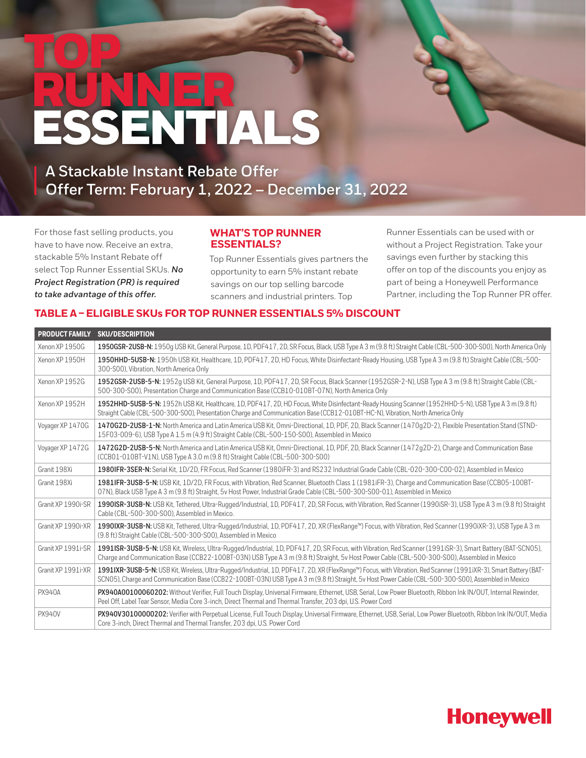# TOP RUNNER<br>ESSENTI TIALS

**A Stackable Instant Rebate Offer Offer Term: February 1, 2022 – December 31, 2022**

For those fast selling products, you have to have now. Receive an extra, stackable 5% Instant Rebate off select Top Runner Essential SKUs. *No Project Registration (PR) is required to take advantage of this offer.*

#### **WHAT'S TOP RUNNER ESSENTIALS?**

Top Runner Essentials gives partners the opportunity to earn 5% instant rebate savings on our top selling barcode scanners and industrial printers. Top

Runner Essentials can be used with or without a Project Registration. Take your savings even further by stacking this offer on top of the discounts you enjoy as part of being a Honeywell Performance Partner, including the Top Runner PR offer.

#### **TABLE A – ELIGIBLE SKUs FOR TOP RUNNER ESSENTIALS 5% DISCOUNT**

| <b>PRODUCT FAMILY</b> | <b>SKU/DESCRIPTION</b>                                                                                                                                                                                                                                                                                                                  |
|-----------------------|-----------------------------------------------------------------------------------------------------------------------------------------------------------------------------------------------------------------------------------------------------------------------------------------------------------------------------------------|
| Xenon XP 1950G        | 1950GSR-2USB-N: 1950q USB Kit, General Purpose, 1D, PDF417, 2D, SR Focus, Black, USB Type A 3 m (9.8 ft) Straight Cable (CBL-500-300-S00), North America Only                                                                                                                                                                           |
| Xenon XP 1950H        | 1950HHD-5USB-N: 1950h USB Kit, Healthcare, 1D, PDF417, 2D, HD Focus, White Disinfectant-Ready Housing, USB Type A 3 m (9.8 ft) Straight Cable (CBL-500-<br>300-S00), Vibration, North America Only                                                                                                                                      |
| Xenon XP 1952G        | 1952GSR-2USB-5-N: 1952q USB Kit, General Purpose, 1D, PDF417, 2D, SR Focus, Black Scanner (1952GSR-2-N), USB Type A 3 m (9.8 ft) Straight Cable (CBL-<br>500-300-S00), Presentation Charge and Communication Base (CCB10-010BT-07N), North America Only                                                                                 |
| Xenon XP 1952H        | 1952HHD-5USB-5-N: 1952h USB Kit, Healthcare, 1D, PDF417, 2D, HD Focus, White Disinfectant-Ready Housing Scanner (1952HHD-5-N), USB Type A 3 m (9.8 ft)<br>Straight Cable (CBL-500-300-S00), Presentation Charge and Communication Base (CCB12-010BT-HC-N), Vibration, North America Only                                                |
| Voyager XP 1470G      | 1470G2D-2USB-1-N: North America and Latin America USB Kit, Omni-Directional, 1D, PDF, 2D, Black Scanner (1470q2D-2), Flexible Presentation Stand (STND-<br>15F03-009-6), USB Type A 1.5 m (4.9 ft) Straight Cable (CBL-500-150-S00), Assembled in Mexico                                                                                |
| Voyager XP 1472G      | 1472G2D-2USB-5-N: North America and Latin America USB Kit, Omni-Directional, 1D, PDF, 2D, Black Scanner (1472q2D-2), Charge and Communication Base<br>(CCB01-010BT-V1N), USB Type A 3.0 m (9.8 ft) Straight Cable (CBL-500-300-S00)                                                                                                     |
| Granit 198Xi          | 1980IFR-3SER-N: Serial Kit, 1D/2D, FR Focus, Red Scanner (1980iFR-3) and RS232 Industrial Grade Cable (CBL-020-300-C00-02), Assembled in Mexico                                                                                                                                                                                         |
| Granit 198Xi          | 1981IFR-3USB-5-N: USB Kit, 1D/2D, FR Focus, with Vibration, Red Scanner, Bluetooth Class 1 (1981iFR-3), Charge and Communication Base (CCB05-100BT-<br>07N), Black USB Type A 3 m (9.8 ft) Straight, 5v Host Power, Industrial Grade Cable (CBL-500-300-S00-01), Assembled in Mexico                                                    |
| Granit XP 1990i-SR    | 1990ISR-3USB-N: USB Kit, Tethered, Ultra-Rugged/Industrial, 1D, PDF417, 2D, SR Focus, with Vibration, Red Scanner (1990iSR-3), USB Type A 3 m (9.8 ft) Straight<br>Cable (CBL-500-300-S00), Assembled in Mexico.                                                                                                                        |
| Granit XP 1990i-XR    | 1990 IXR-3USB-N: USB Kit, Tethered, Ultra-Rugged/Industrial, 1D, PDF417, 2D, XR (FlexRange <sup>nu</sup> ) Focus, with Vibration, Red Scanner (1990 iXR-3), USB Type A 3 m<br>(9.8 ft) Straight Cable (CBL-500-300-S00), Assembled in Mexico                                                                                            |
| Granit XP 1991i-SR    | 1991ISR-3USB-5-N: USB Kit, Wireless, Ultra-Rugged/Industrial, 1D, PDF417, 2D, SR Focus, with Vibration, Red Scanner (1991iSR-3), Smart Battery (BAT-SCN05),<br>Charge and Communication Base (CCB22-100BT-03N) USB Type A 3 m (9.8 ft) Straight, 5v Host Power Cable (CBL-500-300-S00), Assembled in Mexico                             |
| Granit XP 1991i-XR    | 1991IXR-3USB-5-N: USB Kit, Wireless, Ultra-Rugged/Industrial, 1D, PDF417, 2D, XR (FlexRange <sup>nu</sup> ) Focus, with Vibration, Red Scanner (1991iXR-3), Smart Battery (BAT-<br>SCN05), Charge and Communication Base (CCB22-100BT-03N) USB Type A 3 m (9.8 ft) Straight, 5v Host Power Cable (CBL-500-300-S00), Assembled in Mexico |
| <b>PX940A</b>         | PX940A00100060202: Without Verifier, Full Touch Display, Universal Firmware, Ethernet, USB, Serial, Low Power Bluetooth, Ribbon Ink IN/OUT, Internal Rewinder,<br>Peel Off, Label Tear Sensor, Media Core 3-inch, Direct Thermal and Thermal Transfer, 203 dpi, U.S. Power Cord                                                         |
| <b>PX940V</b>         | PX940V30100000202: Verifier with Perpetual License, Full Touch Display, Universal Firmware, Ethernet, USB, Serial, Low Power Bluetooth, Ribbon Ink IN/OUT, Media<br>Core 3-inch, Direct Thermal and Thermal Transfer, 203 dpi, U.S. Power Cord                                                                                          |

## **Honeywell**